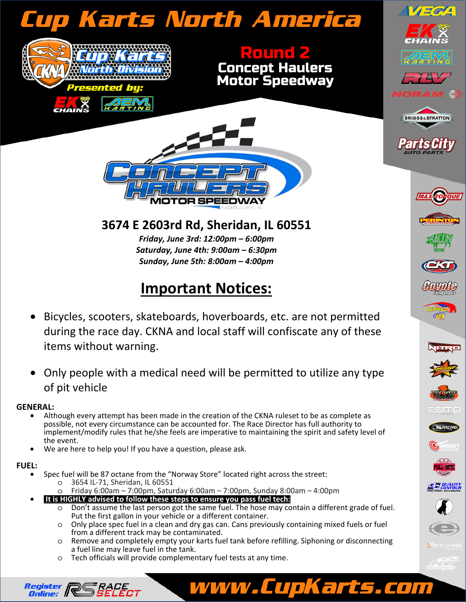# Cup Karts North America





Round 2

Concept Haulers Motor Speedway

 $\sqrt{1-\sigma^2}$ 

**BRIGGS&STRATTON** 

### **3674 E 2603rd Rd, Sheridan, IL 60551**

*Friday, June 3rd: 12:00pm – 6:00pm Saturday, June 4th: 9:00am – 6:30pm Sunday, June 5th: 8:00am – 4:00pm* 

## **Important Notices:**

- Bicycles, scooters, skateboards, hoverboards, etc. are not permitted during the race day. CKNA and local staff will confiscate any of these items without warning.
- Only people with a medical need will be permitted to utilize any type of pit vehicle

- **GENERAL:**<br>• Although every attempt has been made in the creation of the CKNA ruleset to be as complete as possible, not every circumstance can be accounted for. The Race Director has full authority to implement/modify rules that he/she feels are imperative to maintaining the spirit and safety level of the event.
	- We are here to help you! If you have a question, please ask.

Register *Register ||*<br>Online: *||* 

- **FUEL:**  Spec fuel will be 87 octane from the "Norway Store" located right across the street:
	- o 3654 IL-71, Sheridan, IL 60551

SÉLECT

- o Friday 6:00am 7:00pm, Saturday 6:00am 7:00pm, Sunday 8:00am 4:00pm
- • **It is HIGHLY advised to follow these steps to ensure you pass fuel tech:** 
	- o Don't assume the last person got the same fuel. The hose may contain a different grade of fuel. Put the first gallon in your vehicle or a different container.
	- o Only place spec fuel in a clean and dry gas can. Cans previously containing mixed fuels or fuel from a different track may be contaminated.
	- o Remove and completely empty your karts fuel tank before refilling. Siphoning or disconnecting a fuel line may leave fuel in the tank.

www.CupKarts.com

o Tech officials will provide complementary fuel tests at any time.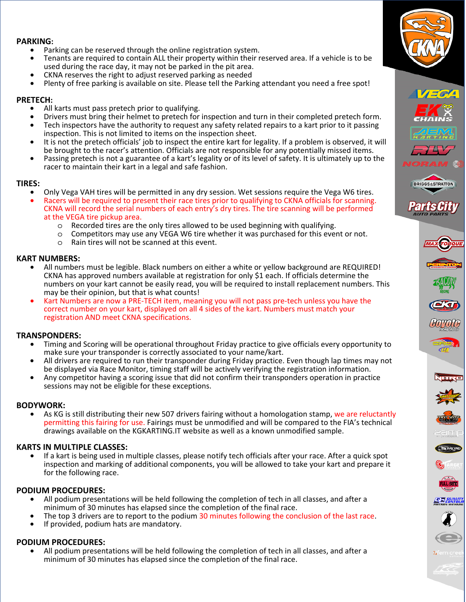### **PARKING:**

- Parking can be reserved through the online registration system.
- Tenants are required to contain ALL their property within their reserved area. If a vehicle is to be used during the race day, it may not be parked in the pit area.
- CKNA reserves the right to adjust reserved parking as needed
- Plenty of free parking is available on site. Please tell the Parking attendant you need a free spot!

- **PRETECH:**<br>• All karts must pass pretech prior to qualifying.
	- Drivers must bring their helmet to pretech for inspection and turn in their completed pretech form.
	- Tech inspectors have the authority to request any safety related repairs to a kart prior to it passing inspection. This is not limited to items on the inspection sheet.
	- It is not the pretech officials' job to inspect the entire kart for legality. If a problem is observed, it will<br>be brought to the racer's attention. Officials are not responsible for any potentially missed items.
	- Passing pretech is not a guarantee of a kart's legality or of its level of safety. It is ultimately up to the racer to maintain their kart in a legal and safe fashion.

- **TIRES:**<br>• Only Vega VAH tires will be permitted in any dry session. Wet sessions require the Vega W6 tires.<br>• Racers will be required to present their race tires prior to qualifying to CKNA officials for scanning.
	- CKNA will record the serial numbers of each entry's dry tires. The tire scanning will be performed at the VEGA tire pickup area.
		- o Recorded tires are the only tires allowed to be used beginning with qualifying.
		- o Competitors may use any VEGA W6 tire whether it was purchased for this event or not.
		- o Rain tires will not be scanned at this event.

- **KART NUMBERS:**  All numbers must be legible. Black numbers on either a white or yellow background are REQUIRED! CKNA has approved numbers available at registration for only \$1 each. If officials determine the numbers on your kart cannot be easily read, you will be required to install replacement numbers. This may be their opinion, but that is what counts!
	- Kart Numbers are now a PRE-TECH item, meaning you will not pass pre-tech unless you have the correct number on your kart, displayed on all 4 sides of the kart. Numbers must match your registration AND meet CKNA specifications.

- **TRANSPONDERS:**  Timing and Scoring will be operational throughout Friday practice to give officials every opportunity to make sure your transponder is correctly associated to your name/kart.
	- All drivers are required to run their transponder during Friday practice. Even though lap times may not be disp<br>be displayed via Race Monitor, timing staff will be actively verifying the registration information.
	- Any competitor having a scoring issue that did not confirm their transponders operation in practice sessions may not be eligible for these exceptions.

**BODYWORK:**<br>• As KG is still distributing their new 507 drivers fairing without a homologation stamp, we are reluctantly permitting this fairing for use. Fairings must be unmodified and will be compared to the FIA's technical drawings available on the KGKARTING.IT website as well as a known unmodified sample.

**KARTS IN MULTIPLE CLASSES:** • If a kart is being used in multiple classes, please notify tech officials after your race. After a quick spot inspection and marking of additional components, you will be allowed to take your kart and prepare it for the following race.

- **PODIUM PROCEDURES:**  All podium presentations will be held following the completion of tech in all classes, and after a minimum of 30 minutes has elapsed since the completion of the final race.
	- The top 3 drivers are to report to the podium 30 minutes following the conclusion of the last race. If provided, podium hats are mandatory.
	-

**PODIUM PROCEDURES:** • All podium presentations will be held following the completion of tech in all classes, and after a minimum of 30 minutes has elapsed since the completion of the final race.